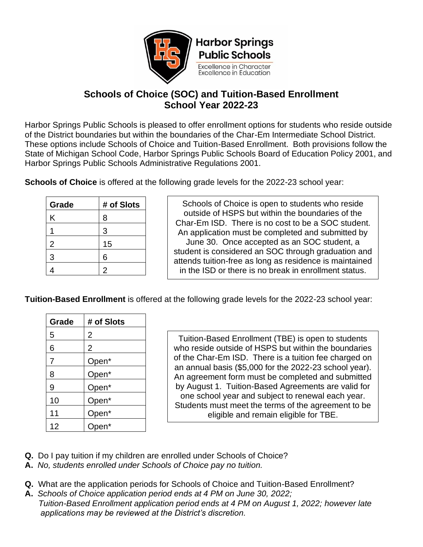

## **Schools of Choice (SOC) and Tuition-Based Enrollment School Year 2022-23**

Harbor Springs Public Schools is pleased to offer enrollment options for students who reside outside of the District boundaries but within the boundaries of the Char-Em Intermediate School District. These options include Schools of Choice and Tuition-Based Enrollment. Both provisions follow the State of Michigan School Code, Harbor Springs Public Schools Board of Education Policy 2001, and Harbor Springs Public Schools Administrative Regulations 2001.

**Schools of Choice** is offered at the following grade levels for the 2022-23 school year:

| Grade | # of Slots |
|-------|------------|
| Κ     | 8          |
|       | 3          |
| 2     | 15         |
| 3     | 6          |
|       | 2          |

Schools of Choice is open to students who reside outside of HSPS but within the boundaries of the Char-Em ISD. There is no cost to be a SOC student. An application must be completed and submitted by June 30. Once accepted as an SOC student, a student is considered an SOC through graduation and attends tuition-free as long as residence is maintained in the ISD or there is no break in enrollment status.

**Tuition-Based Enrollment** is offered at the following grade levels for the 2022-23 school year:

| Grade          | # of Slots     |
|----------------|----------------|
| 5              | 2              |
| 6              | $\overline{2}$ |
| $\overline{7}$ | Open*          |
| 8              | Open*          |
| 9              | Open*          |
| 10             | Open*          |
| 11             | Open*          |
| 12             | Open*          |

Tuition-Based Enrollment (TBE) is open to students who reside outside of HSPS but within the boundaries of the Char-Em ISD. There is a tuition fee charged on an annual basis (\$5,000 for the 2022-23 school year). An agreement form must be completed and submitted by August 1. Tuition-Based Agreements are valid for one school year and subject to renewal each year. Students must meet the terms of the agreement to be eligible and remain eligible for TBE.

- **Q.** Do I pay tuition if my children are enrolled under Schools of Choice?
- **A.** *No, students enrolled under Schools of Choice pay no tuition.*
- **Q.** What are the application periods for Schools of Choice and Tuition-Based Enrollment?
- **A.** *Schools of Choice application period ends at 4 PM on June 30, 2022; Tuition-Based Enrollment application period ends at 4 PM on August 1, 2022; however late applications may be reviewed at the District's discretion.*